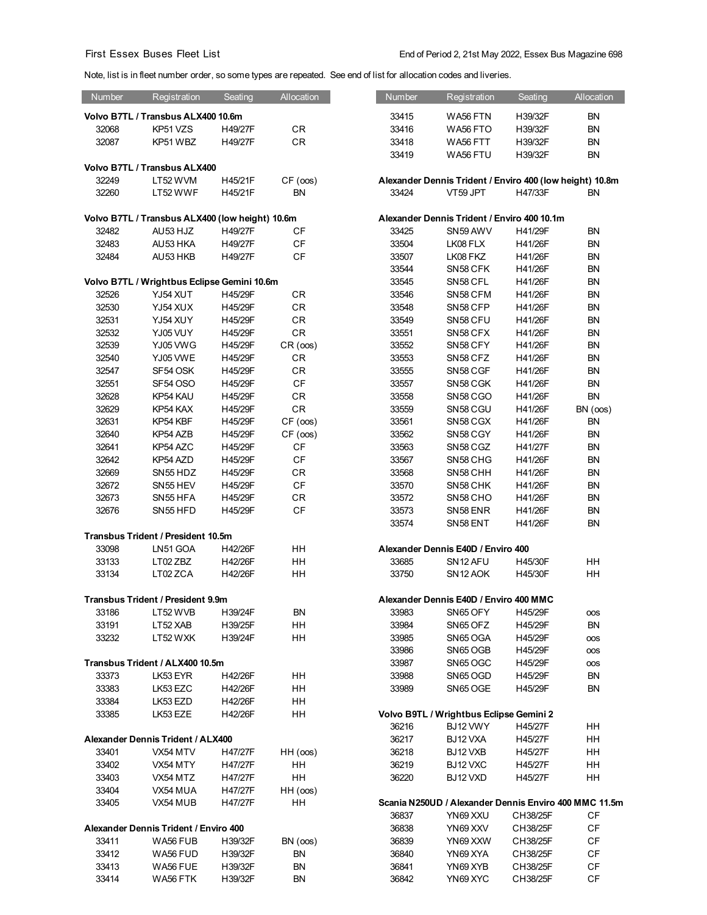Note, list is in fleet number order, so some types are repeated. See end of list for allocation codes and liveries.

| Number | Registration                                    | Seating | Allocation | Number         | Registration                                                      | Seating            | Allocation      |
|--------|-------------------------------------------------|---------|------------|----------------|-------------------------------------------------------------------|--------------------|-----------------|
|        | Volvo B7TL / Transbus ALX400 10.6m              |         |            | 33415          | WA56 FTN                                                          | H39/32F            | BN              |
| 32068  | KP51 VZS                                        | H49/27F | <b>CR</b>  | 33416          | WA56 FTO                                                          | H39/32F            | <b>BN</b>       |
| 32087  | KP51 WBZ                                        | H49/27F | CR         | 33418          | WA56 FTT                                                          | H39/32F            | BN              |
|        |                                                 |         |            | 33419          | WA56 FTU                                                          | H39/32F            | BN              |
|        | Volvo B7TL / Transbus ALX400                    |         |            |                |                                                                   |                    |                 |
| 32249  | LT52 WVM                                        | H45/21F | CF (cos)   |                | Alexander Dennis Trident / Enviro 400 (low height) 10.8m          |                    |                 |
| 32260  | LT52 WWF                                        | H45/21F | BN         | 33424          | VT59 JPT                                                          | H47/33F            | <b>BN</b>       |
|        |                                                 |         |            |                |                                                                   |                    |                 |
|        | Volvo B7TL / Transbus ALX400 (low height) 10.6m |         |            |                | Alexander Dennis Trident / Enviro 400 10.1m                       |                    |                 |
| 32482  | AU53 HJZ                                        | H49/27F | СF         | 33425          | SN59 AWV                                                          | H41/29F            | BN              |
| 32483  | AU53 HKA                                        | H49/27F | CF         | 33504          | LK08 FLX                                                          | H41/26F            | <b>BN</b>       |
| 32484  | AU53 HKB                                        | H49/27F | CF         | 33507          | LK08 FKZ                                                          | H41/26F            | BN              |
|        |                                                 |         |            | 33544          | SN58 CFK                                                          | H41/26F            | BN              |
|        | Volvo B7TL / Wrightbus Eclipse Gemini 10.6m     |         |            | 33545          | SN58 CFL                                                          | H41/26F            | <b>BN</b>       |
| 32526  | YJ54 XUT                                        | H45/29F | <b>CR</b>  | 33546          | SN58 CFM                                                          | H41/26F            | BN              |
| 32530  | YJ54 XUX                                        | H45/29F | CR         | 33548          | SN58 CFP                                                          | H41/26F            | BN              |
| 32531  | YJ54 XUY                                        | H45/29F | CR         | 33549          | SN58 CFU                                                          | H41/26F            | <b>BN</b>       |
| 32532  | YJ05 VUY                                        | H45/29F | <b>CR</b>  | 33551          | SN58 CFX                                                          | H41/26F            | BN              |
| 32539  | YJ05 VWG                                        | H45/29F | CR (cos)   | 33552          | SN58 CFY                                                          | H41/26F            | BN              |
| 32540  | YJ05 VWE                                        | H45/29F | <b>CR</b>  | 33553          | SN58 CFZ                                                          | H41/26F            | <b>BN</b>       |
| 32547  | SF54 OSK                                        | H45/29F | <b>CR</b>  | 33555          | SN58 CGF                                                          | H41/26F            | BN              |
| 32551  | <b>SF54 OSO</b>                                 | H45/29F | CF         | 33557          | SN58 CGK                                                          | H41/26F            | <b>BN</b>       |
| 32628  | KP54 KAU                                        | H45/29F | CR         | 33558          | SN58 CGO                                                          | H41/26F            | <b>BN</b>       |
| 32629  | KP54 KAX                                        | H45/29F | CR         | 33559          | SN58 CGU                                                          | H41/26F            | BN (oos)        |
| 32631  | KP54 KBF                                        | H45/29F | CF (cos)   | 33561          | SN58 CGX                                                          | H41/26F            | <b>BN</b>       |
| 32640  | KP54 AZB                                        | H45/29F | CF (cos)   | 33562          | SN58 CGY                                                          | H41/26F            | BN              |
| 32641  | KP54 AZC                                        | H45/29F | <b>CF</b>  | 33563          | SN58 CGZ                                                          | H41/27F            | BN              |
| 32642  | KP54 AZD                                        | H45/29F | <b>CF</b>  | 33567          | SN58 CHG                                                          | H41/26F            | BN              |
| 32669  | SN55 HDZ                                        | H45/29F | CR         | 33568          | SN58 CHH                                                          | H41/26F            | BN              |
| 32672  | SN55 HEV                                        | H45/29F | CF         | 33570          | SN58 CHK                                                          | H41/26F            | BN              |
| 32673  | SN55 HFA                                        | H45/29F | CR         | 33572          | SN58 CHO                                                          | H41/26F            | BN              |
| 32676  | SN55 HFD                                        | H45/29F | <b>CF</b>  | 33573<br>33574 | SN58 ENR<br>SN58 ENT                                              | H41/26F<br>H41/26F | <b>BN</b><br>BN |
|        | Transbus Trident / President 10.5m              |         |            |                |                                                                   |                    |                 |
| 33098  | LN51 GOA                                        | H42/26F | HH         |                | Alexander Dennis E40D / Enviro 400                                |                    |                 |
| 33133  | LT02 ZBZ                                        | H42/26F | HH         | 33685          | SN12 AFU                                                          | H45/30F            | HН              |
| 33134  | LT02 ZCA                                        | H42/26F | HH         | 33750          | SN <sub>12</sub> AOK                                              | H45/30F            | <b>HH</b>       |
|        |                                                 |         |            |                |                                                                   |                    |                 |
|        | <b>Transbus Trident / President 9.9m</b>        |         |            |                | Alexander Dennis E40D / Enviro 400 MMC                            |                    |                 |
| 33186  | LT52 WVB                                        | H39/24F | <b>BN</b>  | 33983          | SN65 OFY                                                          | H45/29F            | <b>OOS</b>      |
| 33191  | LT52 XAB                                        | H39/25F | HH         | 33984          | SN65 OFZ                                                          | H45/29F            | <b>BN</b>       |
| 33232  | LT52 WXK                                        | H39/24F | HH         | 33985          | SN65 OGA                                                          | H45/29F            | <b>OOS</b>      |
|        |                                                 |         |            | 33986          | SN65 OGB                                                          | H45/29F            | <b>OOS</b>      |
|        | Transbus Trident / ALX400 10.5m                 |         |            | 33987          | SN65 OGC                                                          | H45/29F            | <b>OOS</b>      |
| 33373  | LK53 EYR                                        | H42/26F | HH         | 33988          | SN65 OGD                                                          | H45/29F            | <b>BN</b>       |
| 33383  | LK53 EZC                                        | H42/26F | HН         | 33989          | SN65 OGE                                                          | H45/29F            | <b>BN</b>       |
| 33384  | LK53 EZD                                        | H42/26F | HH         |                |                                                                   |                    |                 |
| 33385  | LK53 EZE                                        | H42/26F | HH         |                | Volvo B9TL / Wrightbus Eclipse Gemini 2                           |                    |                 |
|        |                                                 |         |            | 36216          | BJ12 VWY                                                          | H45/27F            | HH              |
|        | Alexander Dennis Trident / ALX400               |         |            | 36217          | BJ12 VXA                                                          | H45/27F            | HH              |
| 33401  | VX54 MTV                                        | H47/27F | HH (cos)   | 36218          | BJ12 VXB                                                          | H45/27F            | HH              |
| 33402  | VX54 MTY                                        | H47/27F | HH<br>HH   | 36219          | BJ12 VXC                                                          | H45/27F            | HH              |
| 33403  | VX54 MTZ                                        | H47/27F |            | 36220          | BJ12 VXD                                                          | H45/27F            | HH              |
| 33404  | VX54 MUA                                        | H47/27F | HH (oos)   |                |                                                                   |                    |                 |
| 33405  | VX54 MUB                                        | H47/27F | HH         | 36837          | Scania N250UD / Alexander Dennis Enviro 400 MMC 11.5m<br>YN69 XXU | CH38/25F           | CF              |
|        | Alexander Dennis Trident / Enviro 400           |         |            | 36838          | YN69 XXV                                                          | CH38/25F           | CF              |
| 33411  | WA56 FUB                                        | H39/32F | BN (oos)   | 36839          | YN69 XXW                                                          | CH38/25F           | CF              |
| 33412  | WA56 FUD                                        | H39/32F | <b>BN</b>  | 36840          | YN69 XYA                                                          | CH38/25F           | CF              |
| 33413  | WA56 FUE                                        | H39/32F | <b>BN</b>  | 36841          | YN69 XYB                                                          | CH38/25F           | CF              |
| 33414  | WA56 FTK                                        | H39/32F | <b>BN</b>  | 36842          | YN69 XYC                                                          | CH38/25F           | CF              |
|        |                                                 |         |            |                |                                                                   |                    |                 |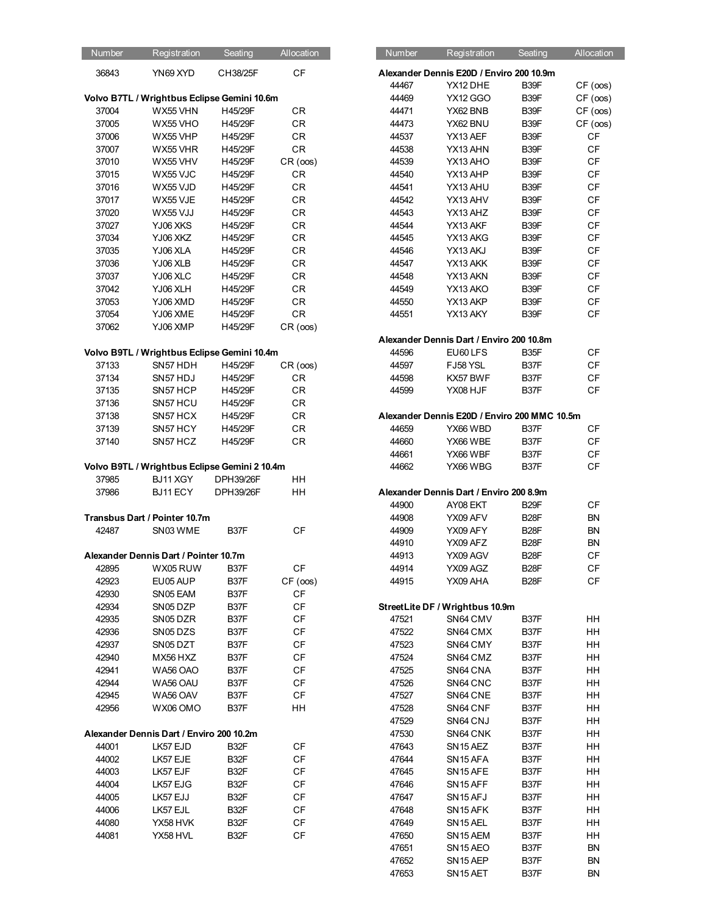| Number | Registration                                  | Seating   | Allocation | Number | Registration                                 | Seating           | Allocation             |
|--------|-----------------------------------------------|-----------|------------|--------|----------------------------------------------|-------------------|------------------------|
| 36843  | YN69 XYD                                      | CH38/25F  | CF         |        | Alexander Dennis E20D / Enviro 200 10.9m     |                   |                        |
|        |                                               |           |            |        |                                              | B39F              |                        |
|        |                                               |           |            | 44467  | YX12 DHE                                     |                   | CF (oos)               |
|        | Volvo B7TL / Wrightbus Eclipse Gemini 10.6m   |           |            | 44469  | <b>YX12 GGO</b>                              | B39F              | CF (oos)               |
| 37004  | WX55 VHN                                      | H45/29F   | CR         | 44471  | YX62 BNB                                     | B39F              | CF (cos)               |
| 37005  | WX55 VHO                                      | H45/29F   | CR         | 44473  | YX62 BNU                                     | B39F              | CF (oos)               |
| 37006  | WX55 VHP                                      | H45/29F   | CR         | 44537  | YX13 AEF                                     | B39F              | $\mathsf{C}\mathsf{F}$ |
| 37007  | WX55 VHR                                      | H45/29F   | ${\sf CR}$ | 44538  | YX13 AHN                                     | B39F              | CF                     |
| 37010  | WX55 VHV                                      | H45/29F   | CR (cos)   | 44539  | YX13 AHO                                     | B39F              | $\mathsf{C}\mathsf{F}$ |
| 37015  | WX55 VJC                                      | H45/29F   | CR         | 44540  | YX13 AHP                                     | B39F              | $\mathsf{C}\mathsf{F}$ |
| 37016  | WX55 VJD                                      | H45/29F   | CR         | 44541  | YX13 AHU                                     | B39F              | CF                     |
| 37017  | WX55 VJE                                      | H45/29F   | CR         | 44542  | YX13 AHV                                     | B39F              | $\mathsf{C}\mathsf{F}$ |
| 37020  | WX55 VJJ                                      | H45/29F   | CR         | 44543  | YX13 AHZ                                     | B39F              | CF                     |
| 37027  | YJ06 XKS                                      | H45/29F   | CR         | 44544  | YX13 AKF                                     | B39F              | CF                     |
| 37034  | YJ06 XKZ                                      | H45/29F   | CR         | 44545  | YX13 AKG                                     | B39F              | $\mathsf{C}\mathsf{F}$ |
| 37035  | YJ06 XLA                                      | H45/29F   | CR         | 44546  | YX13 AKJ                                     | B39F              | $\mathsf{C}\mathsf{F}$ |
| 37036  | YJ06 XLB                                      | H45/29F   | CR         | 44547  | YX13 AKK                                     | B39F              | CF                     |
| 37037  | YJ06 XLC                                      | H45/29F   | CR         | 44548  | YX13 AKN                                     | B39F              | $\mathsf{C}\mathsf{F}$ |
| 37042  | YJ06 XLH                                      | H45/29F   | CR         | 44549  | YX13 AKO                                     | B39F              | CF                     |
| 37053  | YJ06 XMD                                      | H45/29F   | CR         | 44550  | YX13 AKP                                     | B39F              | CF                     |
| 37054  | YJ06 XME                                      | H45/29F   | CR         | 44551  | YX13 AKY                                     | B39F              | CF                     |
| 37062  | YJ06 XMP                                      | H45/29F   | CR (cos)   |        |                                              |                   |                        |
|        |                                               |           |            |        | Alexander Dennis Dart / Enviro 200 10.8m     |                   |                        |
|        | Volvo B9TL / Wrightbus Eclipse Gemini 10.4m   |           |            | 44596  | EU60 LFS                                     | B <sub>35</sub> F | CF                     |
| 37133  | SN57 HDH                                      | H45/29F   | CR (cos)   | 44597  | FJ58 YSL                                     | B37F              | CF                     |
| 37134  | SN57 HDJ                                      | H45/29F   | CR         | 44598  | KX57 BWF                                     | B37F              | CF                     |
| 37135  | SN57 HCP                                      | H45/29F   | CR         | 44599  | YX08 HJF                                     | B37F              | CF                     |
| 37136  | SN57 HCU                                      | H45/29F   | <b>CR</b>  |        |                                              |                   |                        |
| 37138  | SN57 HCX                                      | H45/29F   | CR         |        | Alexander Dennis E20D / Enviro 200 MMC 10.5m |                   |                        |
| 37139  | SN57 HCY                                      | H45/29F   | CR         | 44659  | YX66 WBD                                     | B37F              | CF                     |
| 37140  | SN57 HCZ                                      | H45/29F   | CR         | 44660  | YX66 WBE                                     | B37F              | CF                     |
|        |                                               |           |            | 44661  | YX66 WBF                                     | B37F              | CF                     |
|        | Volvo B9TL / Wrightbus Eclipse Gemini 2 10.4m |           |            | 44662  | YX66 WBG                                     | B37F              | $\mathsf{C}\mathsf{F}$ |
| 37985  | BJ11 XGY                                      | DPH39/26F | <b>HH</b>  |        |                                              |                   |                        |
| 37986  | BJ11 ECY                                      | DPH39/26F | HH         |        | Alexander Dennis Dart / Enviro 200 8.9m      |                   |                        |
|        |                                               |           |            | 44900  | AY08 EKT                                     | B <sub>29</sub> F | CF                     |
|        | Transbus Dart / Pointer 10.7m                 |           |            | 44908  | YX09 AFV                                     | B <sub>28</sub> F | <b>BN</b>              |
| 42487  | SN03 WME                                      | B37F      | <b>CF</b>  | 44909  | YX09 AFY                                     | B <sub>28</sub> F | <b>BN</b>              |
|        |                                               |           |            | 44910  | YX09 AFZ                                     | B <sub>28</sub> F | ΒN                     |
|        | Alexander Dennis Dart / Pointer 10.7m         |           |            | 44913  | YX09 AGV                                     | B <sub>28</sub> F | CF                     |
| 42895  | WX05 RUW                                      | B37F      | CF         | 44914  | YX09 AGZ                                     | B <sub>28</sub> F | CF                     |
| 42923  | EU05 AUP                                      | B37F      | CF (oos)   | 44915  | YX09 AHA                                     | B <sub>28</sub> F | $\mathsf{C}\mathsf{F}$ |
| 42930  | SN05 EAM                                      | B37F      | <b>CF</b>  |        |                                              |                   |                        |
| 42934  | SN05 DZP                                      | B37F      | СF         |        | StreetLite DF / Wrightbus 10.9m              |                   |                        |
| 42935  | SN05 DZR                                      | B37F      | СF         | 47521  | SN64 CMV                                     | B37F              | HH                     |
| 42936  | SN05 DZS                                      | B37F      | СF         | 47522  | SN64 CMX                                     | B37F              | HH                     |
| 42937  | SN05 DZT                                      | B37F      | СF         | 47523  | SN64 CMY                                     | B37F              | HH                     |
| 42940  | MX56 HXZ                                      | B37F      | CF         | 47524  | SN64 CMZ                                     | B <sub>37</sub> F | HH                     |
| 42941  | WA56 OAO                                      | B37F      | CF         | 47525  | SN64 CNA                                     | B37F              | HH                     |
| 42944  | WA56 OAU                                      | B37F      | СF         | 47526  | SN64 CNC                                     | B37F              | HH                     |
| 42945  | WA56 OAV                                      | B37F      | CF         | 47527  | SN64 CNE                                     | B37F              | HH                     |
| 42956  | WX06 OMO                                      | B37F      | HH         | 47528  | SN64 CNF                                     | B37F              | HH                     |
|        |                                               |           |            | 47529  | SN64 CNJ                                     | B37F              | HH                     |
|        | Alexander Dennis Dart / Enviro 200 10.2m      |           |            | 47530  | SN64 CNK                                     | B <sub>37</sub> F | HH                     |
| 44001  | LK57 EJD                                      | B32F      | СF         | 47643  | SN <sub>15</sub> AEZ                         | B37F              | HH                     |
| 44002  | LK57 EJE                                      | B32F      | СF         | 47644  | SN <sub>15</sub> AFA                         | B37F              | HH                     |
| 44003  | LK57 EJF                                      | B32F      | CF         | 47645  | SN <sub>15</sub> AFE                         | B37F              | HH                     |
| 44004  | LK57 EJG                                      | B32F      | СF         | 47646  | SN <sub>15</sub> AFF                         | B37F              | HH                     |
| 44005  | LK57 EJJ                                      | B32F      | СF         | 47647  | SN <sub>15</sub> AFJ                         | B37F              | HH                     |
| 44006  | LK57 EJL                                      | B32F      | CF         | 47648  | SN <sub>15</sub> AFK                         | B37F              | HH                     |
| 44080  | YX58 HVK                                      | B32F      | CF         | 47649  | SN <sub>15</sub> AEL                         | B37F              | HH                     |
| 44081  | YX58 HVL                                      | B32F      | СF         | 47650  | SN <sub>15</sub> AEM                         | B37F              | HH                     |
|        |                                               |           |            | 47651  | SN <sub>15</sub> AEO                         | B37F              | <b>BN</b>              |
|        |                                               |           |            |        |                                              |                   |                        |

| Iumber | Registration                                | Seating   | Allocation |
|--------|---------------------------------------------|-----------|------------|
| 36843  | YN69 XYD                                    | CH38/25F  | CF         |
|        |                                             |           |            |
|        | Ivo B7TL / Wrightbus Eclipse Gemini 10.6m   |           |            |
| 37004  | WX55 VHN                                    | H45/29F   | CR         |
| 37005  | WX55 VHO                                    | H45/29F   | CR         |
|        |                                             |           |            |
| 37006  | WX55 VHP                                    | H45/29F   | CR         |
| 37007  | WX55 VHR                                    | H45/29F   | CR         |
| 37010  | WX55 VHV                                    | H45/29F   | CR (oos)   |
| 37015  | WX55 VJC                                    | H45/29F   | <b>CR</b>  |
| 37016  | WX55 VJD                                    | H45/29F   | <b>CR</b>  |
| 37017  | WX55 VJE                                    | H45/29F   | CR         |
| 37020  | WX55 VJJ                                    | H45/29F   | <b>CR</b>  |
| 37027  | YJ06 XKS                                    | H45/29F   | <b>CR</b>  |
| 37034  | YJ06 XKZ                                    | H45/29F   | <b>CR</b>  |
| 37035  | YJ06 XLA                                    | H45/29F   | <b>CR</b>  |
| 37036  | YJ06 XLB                                    | H45/29F   | CR         |
| 37037  | YJ06 XLC                                    | H45/29F   | CR         |
| 37042  | YJ06 XLH                                    | H45/29F   | CR         |
| 37053  | YJ06 XMD                                    | H45/29F   | <b>CR</b>  |
| 37054  | YJ06 XME                                    | H45/29F   | <b>CR</b>  |
| 37062  | YJ06 XMP                                    | H45/29F   | CR (cos)   |
|        |                                             |           |            |
|        | Ivo B9TL / Wrightbus Eclipse Gemini 10.4m   |           |            |
| 37133  | SN57 HDH                                    | H45/29F   | CR (cos)   |
| 37134  | SN57 HDJ                                    | H45/29F   | CR         |
| 37135  | SN57 HCP                                    | H45/29F   | <b>CR</b>  |
| 37136  | SN57 HCU                                    | H45/29F   | CR         |
| 37138  | SN57 HCX                                    | H45/29F   | CR         |
|        |                                             |           |            |
| 37139  | SN57 HCY                                    | H45/29F   | CR         |
| 37140  | SN57 HCZ                                    | H45/29F   | <b>CR</b>  |
|        |                                             |           |            |
|        | Ivo B9TL / Wrightbus Eclipse Gemini 2 10.4m |           |            |
| 37985  | BJ11 XGY                                    | DPH39/26F | HH         |
| 37986  | BJ11 ECY                                    | DPH39/26F | HH         |
|        |                                             |           |            |
|        | ansbus Dart / Pointer 10.7m                 |           |            |
| 42487  | SN03 WME                                    | B37F      | <b>CF</b>  |
|        |                                             |           |            |
|        | exander Dennis Dart / Pointer 10.7m         |           |            |
| 42895  | WX05 RUW                                    | B37F      | СF         |
| 42923  | EU05 AUP                                    | B37F      | CF (cos)   |
| 42930  | SN05 EAM                                    | B37F      | <b>CF</b>  |
| 42934  | SN05 DZP                                    | B37F      | <b>CF</b>  |
| 42935  | SN05 DZR                                    | B37F      | CF         |
| 42936  | SN05DZS                                     | B37F      | <b>CF</b>  |
| 42937  | SN05 DZT                                    | B37F      | СF         |
| 42940  | MX56 HXZ                                    | B37F      | CF         |
|        |                                             | B37F      | CF         |
| 42941  | WA56 OAO                                    |           |            |
| 42944  | WA56 OAU                                    | B37F      | <b>CF</b>  |
| 42945  | WA56 OAV                                    | B37F      | CF         |
| 42956  | WX06 OMO                                    | B37F      | HH         |
|        |                                             |           |            |
|        | exander Dennis Dart / Enviro 200 10.2m      |           |            |
| 44001  | LK57 EJD                                    | B32F      | СF         |
| 44002  | LK57 EJE                                    | B32F      | <b>CF</b>  |
| 44003  | LK57 EJF                                    | B32F      | CF         |
| 44004  | LK57 EJG                                    | B32F      | <b>CF</b>  |
| 44005  | LK57 EJJ                                    | B32F      | СF         |
| 44006  | LK57 EJL                                    | B32F      | CF         |
| 44080  | YX58 HVK                                    | B32F      | CF         |
| 44081  | YX58 HVL                                    | B32F      | <b>CF</b>  |
|        |                                             |           |            |
|        |                                             |           |            |
|        |                                             |           |            |
|        |                                             |           |            |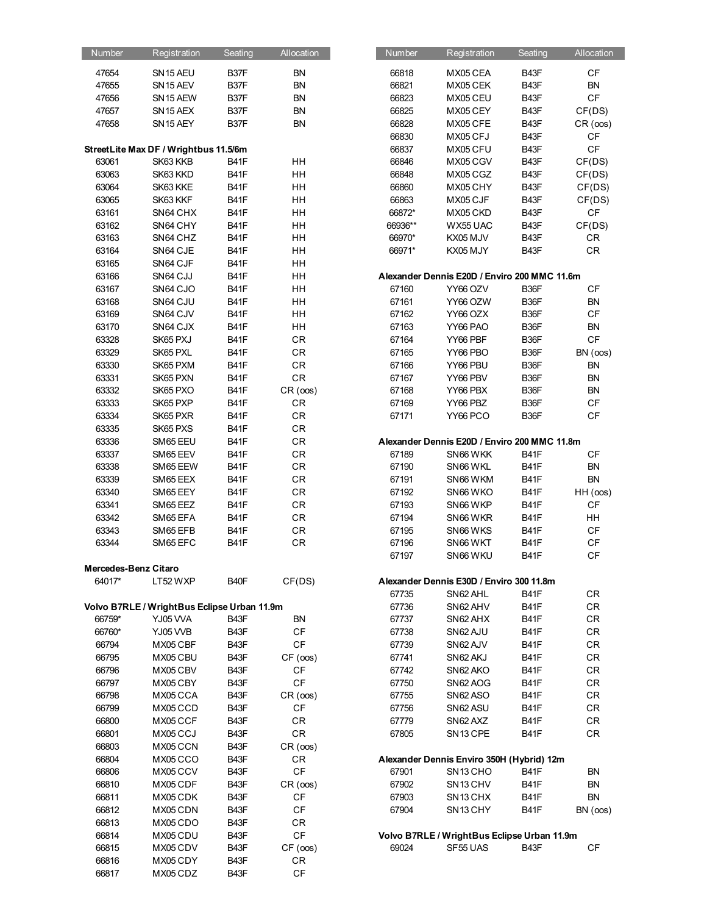| Number               | Registration                                | Seating           | Allocation             | Number  | Registration                                 | Seating           | Allocation             |
|----------------------|---------------------------------------------|-------------------|------------------------|---------|----------------------------------------------|-------------------|------------------------|
| 47654                | SN <sub>15</sub> AEU                        | B37F              | <b>BN</b>              | 66818   | MX05 CEA                                     | B43F              | $\mathsf{C}\mathsf{F}$ |
| 47655                | SN <sub>15</sub> AEV                        | B <sub>37</sub> F | <b>BN</b>              | 66821   | MX05 CEK                                     | B43F              | <b>BN</b>              |
| 47656                | SN15 AEW                                    | B37F              | <b>BN</b>              | 66823   | MX05 CEU                                     | B43F              | $\mathsf{C}\mathsf{F}$ |
| 47657                | SN <sub>15</sub> AEX                        | B37F              | <b>BN</b>              | 66825   | MX05 CEY                                     | B43F              | CF(DS)                 |
| 47658                | SN <sub>15</sub> AEY                        | B37F              | <b>BN</b>              | 66828   | MX05 CFE                                     | B43F              |                        |
|                      |                                             |                   |                        |         |                                              |                   | CR (oos)               |
|                      |                                             |                   |                        | 66830   | MX05 CFJ                                     | B43F              | CF                     |
|                      | StreetLite Max DF / Wrightbus 11.5/6m       |                   |                        | 66837   | MX05 CFU                                     | B43F              | $\mathsf{C}\mathsf{F}$ |
| 63061                | SK63 KKB                                    | B41F              | HH                     | 66846   | MX05 CGV                                     | B43F              | CF(DS)                 |
| 63063                | SK63 KKD                                    | B41F              | HH                     | 66848   | MX05 CGZ                                     | B43F              | CF(DS)                 |
| 63064                | SK63 KKE                                    | B41F              | HH                     | 66860   | MX05 CHY                                     | B43F              | CF(DS)                 |
| 63065                | SK63 KKF                                    | B41F              | HH                     | 66863   | MX05 CJF                                     | B43F              | CF(DS)                 |
| 63161                | SN64 CHX                                    | B41F              | HH                     | 66872*  | MX05 CKD                                     | B43F              | $\mathsf{C}\mathsf{F}$ |
| 63162                | SN64 CHY                                    | B41F              | HH                     | 66936** | WX55 UAC                                     | B43F              | CF(DS)                 |
| 63163                | SN64 CHZ                                    | B41F              | HH                     | 66970*  | KX05 MJV                                     | B43F              | CR                     |
| 63164                | SN64 CJE                                    | B41F              | HH                     | 66971*  | KX05 MJY                                     | B43F              | ${\sf CR}$             |
| 63165                | SN64 CJF                                    | B41F              | HH                     |         |                                              |                   |                        |
| 63166                | SN64 CJJ                                    | B41F              | HH                     |         | Alexander Dennis E20D / Enviro 200 MMC 11.6m |                   |                        |
| 63167                | SN64 CJO                                    | B41F              | HH                     | 67160   | YY66 OZV                                     | B36F              | CF                     |
| 63168                | SN64 CJU                                    | B41F              | HH                     | 67161   | YY66 OZW                                     | B36F              | <b>BN</b>              |
| 63169                | SN64 CJV                                    | B41F              | HH                     | 67162   | YY66 OZX                                     | B <sub>36</sub> F | $\mathsf{C}\mathsf{F}$ |
| 63170                | SN64 CJX                                    | B41F              | HH                     | 67163   | YY66 PAO                                     | B36F              | ${\sf BN}$             |
| 63328                | SK65 PXJ                                    | B41F              | CR                     | 67164   | YY66 PBF                                     | B36F              | $\mathsf{C}\mathsf{F}$ |
| 63329                | SK65 PXL                                    | B41F              | CR                     | 67165   | YY66 PBO                                     | B <sub>36</sub> F | BN (oos)               |
| 63330                | SK65 PXM                                    | B41F              | CR                     | 67166   | YY66 PBU                                     | B36F              | <b>BN</b>              |
| 63331                | SK65 PXN                                    | B41F              | CR                     | 67167   | YY66 PBV                                     | B36F              | <b>BN</b>              |
| 63332                | SK65 PXO                                    | B41F              | CR (oos)               | 67168   | YY66 PBX                                     | B36F              | <b>BN</b>              |
| 63333                | SK65 PXP                                    | B41F              | CR                     | 67169   | YY66 PBZ                                     | B36F              | $\mathsf{C}\mathsf{F}$ |
| 63334                | SK65 PXR                                    | B41F              | CR                     | 67171   | YY66 PCO                                     | B36F              | $\mathsf{C}\mathsf{F}$ |
| 63335                | SK65 PXS                                    | B41F              | CR                     |         |                                              |                   |                        |
| 63336                | SM65 EEU                                    | B41F              | CR                     |         | Alexander Dennis E20D / Enviro 200 MMC 11.8m |                   |                        |
| 63337                | SM65 EEV                                    | B41F              | CR                     | 67189   | SN66 WKK                                     | B41F              | CF                     |
| 63338                | SM65 EEW                                    | B41F              | CR                     | 67190   | SN66 WKL                                     | B41F              | ${\sf BN}$             |
| 63339                | SM65 EEX                                    | B41F              | CR                     | 67191   | SN66 WKM                                     | B41F              | <b>BN</b>              |
| 63340                | SM65 EEY                                    | B41F              | CR                     | 67192   | SN66 WKO                                     | B41F              | HH (oos)               |
| 63341                | SM65 EEZ                                    | B41F              | CR                     | 67193   | SN66 WKP                                     | B41F              | CF                     |
| 63342                | SM65 EFA                                    | B41F              | CR                     | 67194   | SN66 WKR                                     | B41F              | HH                     |
| 63343                | SM65 EFB                                    | B41F              | CR                     | 67195   | SN66 WKS                                     | B41F              | $\mathsf{C}\mathsf{F}$ |
| 63344                | SM65 EFC                                    | B41F              | CR                     | 67196   | SN66 WKT                                     | B41F              | $\mathsf{C}\mathsf{F}$ |
|                      |                                             |                   |                        | 67197   | SN66 WKU                                     | B41F              | $\mathsf{C}\mathsf{F}$ |
| Mercedes-Benz Citaro |                                             |                   |                        |         |                                              |                   |                        |
| 64017*               | LT52 WXP                                    | B40F              | CF(DS)                 |         | Alexander Dennis E30D / Enviro 300 11.8m     |                   |                        |
|                      |                                             |                   |                        | 67735   | SN62 AHL                                     | B41F              | CR                     |
|                      | Volvo B7RLE / WrightBus Eclipse Urban 11.9m |                   |                        | 67736   | SN62 AHV                                     | B41F              | CR                     |
| 66759*               | YJ05 VVA                                    | B43F              | <b>BN</b>              | 67737   | SN62 AHX                                     | B41F              | CR                     |
| 66760*               | YJ05 VVB                                    | B43F              | CF                     | 67738   | SN62 AJU                                     | B41F              | CR                     |
| 66794                | MX05 CBF                                    | B43F              | CF                     | 67739   | SN62 AJV                                     | B41F              | CR                     |
| 66795                | MX05 CBU                                    | B43F              | CF (cos)               | 67741   | SN62 AKJ                                     | B41F              | CR                     |
| 66796                | MX05 CBV                                    | B43F              | <b>CF</b>              | 67742   | SN62 AKO                                     | B41F              | CR                     |
| 66797                | MX05 CBY                                    | B43F              | $\mathsf{C}\mathsf{F}$ | 67750   | SN62 AOG                                     | B41F              | CR                     |
| 66798                | MX05 CCA                                    | B43F              | CR (oos)               | 67755   | SN62 ASO                                     | B41F              | CR                     |
| 66799                | MX05 CCD                                    | B43F              | <b>CF</b>              | 67756   | SN62 ASU                                     | B41F              | CR                     |
| 66800                | MX05 CCF                                    | B43F              | CR                     | 67779   | SN62 AXZ                                     | B41F              | CR                     |
| 66801                | MX05 CCJ                                    | B43F              | CR                     | 67805   | SN 13 CPE                                    | B41F              | CR                     |
| 66803                | MX05 CCN                                    | B43F              | CR (cos)               |         |                                              |                   |                        |
| 66804                | MX05 CCO                                    | B43F              | <b>CR</b>              |         | Alexander Dennis Enviro 350H (Hybrid) 12m    |                   |                        |
| 66806                | MX05 CCV                                    | B43F              | CF                     | 67901   | SN <sub>13</sub> CHO                         | B41F              | <b>BN</b>              |
| 66810                | MX05 CDF                                    | B43F              | CR (cos)               | 67902   | SN <sub>13</sub> CHV                         | B41F              | <b>BN</b>              |
| 66811                | MX05 CDK                                    | B43F              | CF                     | 67903   | SN <sub>13</sub> CHX                         | B41F              | <b>BN</b>              |
| 66812                | MX05 CDN                                    | B43F              | CF                     | 67904   | SN <sub>13</sub> CHY                         | B41F              | BN (cos)               |
| 66813                | MX05 CDO                                    | B43F              | CR                     |         |                                              |                   |                        |
| 66814                | MX05 CDU                                    | B43F              | $\mathsf{C}\mathsf{F}$ |         | Volvo B7RLE / WrightBus Eclipse Urban 11.9m  |                   |                        |
| 66815                | MX05 CDV                                    | B43F              | CF (oos)               | 69024   | SF55 UAS                                     | B43F              | CF                     |
| 66816                | MX05 CDY                                    | B43F              | CR                     |         |                                              |                   |                        |
| 66817                | MX05 CDZ                                    | B43F              | CF                     |         |                                              |                   |                        |
|                      |                                             |                   |                        |         |                                              |                   |                        |

| Number  | Registration                                | Seating     | Allocation |
|---------|---------------------------------------------|-------------|------------|
| 66818   | MX05 CEA                                    | B43F        | CF         |
| 66821   | MX05 CEK                                    | B43F        | ΒN         |
| 66823   | MX05 CEU                                    | B43F        | CF         |
| 66825   | MX05 CEY                                    | B43F        | CF(DS)     |
| 66828   | MX05 CFE                                    | B43F        | CR (oos)   |
| 66830   | MX05 CFJ                                    | B43F        | СF         |
| 66837   | MX05 CFU                                    | B43F        | CF         |
| 66846   | MX05 CGV                                    | B43F        | CF(DS)     |
| 66848   | MX05 CGZ                                    | B43F        | CF(DS)     |
| 66860   | MX05 CHY                                    | B43F        | CF(DS)     |
| 66863   | MX05 CJF                                    | B43F        | CF(DS)     |
| 66872*  | MX05 CKD                                    | B43F        | <b>CF</b>  |
| 66936** | WX55 UAC                                    | B43F        | CF(DS)     |
| 66970*  | KX05 MJV                                    | B43F        | CR         |
| 66971*  | KX05 MJY                                    | B43F        | <b>CR</b>  |
|         |                                             |             |            |
|         | lexander Dennis E20D / Enviro 200 MMC 11.6m |             |            |
| 67160   | YY66 OZV                                    | B36F        | <b>CF</b>  |
| 67161   | YY66 OZW                                    | B36F        | BN         |
| 67162   | YY66 OZX                                    | B36F        | CF         |
| 67163   | YY66 PAO                                    | B36F        | <b>BN</b>  |
| 67164   | YY66 PBF                                    | B36F        | CF         |
| 67165   | YY66 PBO                                    | B36F        | BN (oos)   |
| 67166   | YY66 PBU                                    | B36F        | BN         |
| 67167   | YY66 PBV                                    | B36F        | <b>BN</b>  |
| 67168   | YY66 PBX                                    | B36F        | ΒN         |
| 67169   | YY66 PBZ                                    | B36F        | CF         |
| 67171   | YY66 PCO                                    | B36F        | CF         |
|         |                                             |             |            |
|         | lexander Dennis E20D / Enviro 200 MMC 11.8m |             |            |
| 67189   | SN66 WKK                                    | B41F        | СF         |
| 67190   | SN66 WKL                                    | B41F        | ΒN         |
| 67191   | SN66 WKM                                    | B41F        | <b>BN</b>  |
| 67192   | SN66 WKO                                    | B41F        | HH (oos)   |
| 67193   | SN66 WKP                                    | B41F        | СF         |
| 67194   | SN66 WKR                                    | B41F        | HН         |
| 67195   | SN66 WKS                                    | B41F        | CF         |
| 67196   | SN66 WKT                                    | B41F        | СF         |
| 67197   | SN66 WKU                                    | <b>B41F</b> | CF         |
|         |                                             |             |            |
|         | lexander Dennis E30D / Enviro 300 11.8m     |             |            |
| 67735   | SN62 AHL                                    | B41F        | CR         |
| 67736   | SN62 AHV                                    | B41F        | <b>CR</b>  |
| 67737   | SN62 AHX                                    | B41F        | CR         |
| 67738   | SN62 AJU                                    | B41F        | CR         |
| 67739   | SN62 AJV                                    | <b>B41F</b> | CR         |
| 67741   | SN62 AKJ                                    | <b>B41F</b> | CR         |
| 67742   | SN62 AKO                                    | B41F        | <b>CR</b>  |
| 67750   | SN62 AOG                                    | B41F        | CR         |
| 67755   | SN62 ASO                                    | B41F        | CR         |
| 67756   | SN62 ASU                                    | <b>B41F</b> | <b>CR</b>  |
| 67779   | SN62 AXZ                                    | B41F        | CR         |
| 67805   | SN <sub>13</sub> CPE                        | B41F        | CR         |
|         | Iexander Dennis Enviro 350H (Hybrid) 12m    |             |            |
| 67901   | SN <sub>13</sub> CHO                        | B41F        | ΒN         |
| 67902   | SN <sub>13</sub> CHV                        | B41F        | BN         |
| 67903   | SN13 CHX                                    | B41F        | ΒN         |
| 67904   | SN <sub>13</sub> CHY                        | B41F        | BN (oos)   |
|         |                                             |             |            |
|         | 'olvo B7RLE / WrightBus Eclipse Urban 11.9m |             |            |
| 69024   | SF55 UAS                                    | B43F        | СF         |
|         |                                             |             |            |
|         |                                             |             |            |